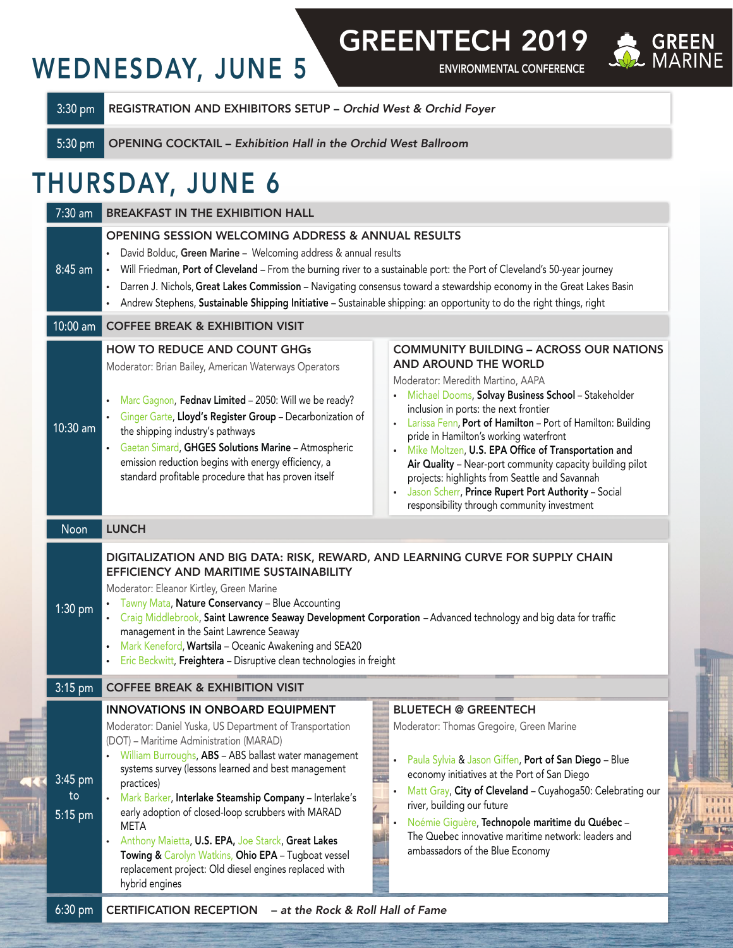## WEDNESDAY, JUNE 5

ENVIRONMENTAL CONFERENCE GREENTECH 2019



3:30 pm REGISTRATION AND EXHIBITORS SETUP – *Orchid West & Orchid Foyer*

5:30 pm OPENING COCKTAIL – *Exhibition Hall in the Orchid West Ballroom*

## THURSDAY, JUNE 6

| $7:30$ am                | <b>BREAKFAST IN THE EXHIBITION HALL</b>                                                                                                                                                                                                                                                                                                                                                                                                                                                                                                                                                                                                                                                                                                                                                                                                                                                                                                                                                                                                                                                                                                                                                                                                                                                             |  |  |
|--------------------------|-----------------------------------------------------------------------------------------------------------------------------------------------------------------------------------------------------------------------------------------------------------------------------------------------------------------------------------------------------------------------------------------------------------------------------------------------------------------------------------------------------------------------------------------------------------------------------------------------------------------------------------------------------------------------------------------------------------------------------------------------------------------------------------------------------------------------------------------------------------------------------------------------------------------------------------------------------------------------------------------------------------------------------------------------------------------------------------------------------------------------------------------------------------------------------------------------------------------------------------------------------------------------------------------------------|--|--|
| 8:45 am                  | <b>OPENING SESSION WELCOMING ADDRESS &amp; ANNUAL RESULTS</b><br>David Bolduc, Green Marine - Welcoming address & annual results<br>Will Friedman, Port of Cleveland - From the burning river to a sustainable port: the Port of Cleveland's 50-year journey<br>$\bullet$ .<br>Darren J. Nichols, Great Lakes Commission - Navigating consensus toward a stewardship economy in the Great Lakes Basin<br>$\bullet$<br>• Andrew Stephens, Sustainable Shipping Initiative - Sustainable shipping: an opportunity to do the right things, right                                                                                                                                                                                                                                                                                                                                                                                                                                                                                                                                                                                                                                                                                                                                                       |  |  |
| 10:00 am $ $             | <b>COFFEE BREAK &amp; EXHIBITION VISIT</b>                                                                                                                                                                                                                                                                                                                                                                                                                                                                                                                                                                                                                                                                                                                                                                                                                                                                                                                                                                                                                                                                                                                                                                                                                                                          |  |  |
| 10:30 am<br>Noon         | <b>HOW TO REDUCE AND COUNT GHGs</b><br><b>COMMUNITY BUILDING - ACROSS OUR NATIONS</b><br>AND AROUND THE WORLD<br>Moderator: Brian Bailey, American Waterways Operators<br>Moderator: Meredith Martino, AAPA<br>• Michael Dooms, Solvay Business School - Stakeholder<br>Marc Gagnon, Fednav Limited - 2050: Will we be ready?<br>$\bullet$<br>inclusion in ports: the next frontier<br>Ginger Garte, Lloyd's Register Group - Decarbonization of<br>• Larissa Fenn, Port of Hamilton - Port of Hamilton: Building<br>the shipping industry's pathways<br>pride in Hamilton's working waterfront<br>• Gaetan Simard, GHGES Solutions Marine - Atmospheric<br>• Mike Moltzen, U.S. EPA Office of Transportation and<br>emission reduction begins with energy efficiency, a<br>Air Quality - Near-port community capacity building pilot<br>standard profitable procedure that has proven itself<br>projects: highlights from Seattle and Savannah<br>Jason Scherr, Prince Rupert Port Authority - Social<br>responsibility through community investment<br><b>LUNCH</b><br>DIGITALIZATION AND BIG DATA: RISK, REWARD, AND LEARNING CURVE FOR SUPPLY CHAIN<br>EFFICIENCY AND MARITIME SUSTAINABILITY<br>Moderator: Eleanor Kirtley, Green Marine<br>• Tawny Mata, Nature Conservancy - Blue Accounting |  |  |
| 1:30 pm<br>$3:15$ pm     | - Craig Middlebrook, Saint Lawrence Seaway Development Corporation - Advanced technology and big data for traffic<br>management in the Saint Lawrence Seaway<br>Mark Keneford, Wartsila - Oceanic Awakening and SEA20<br>· Eric Beckwitt, Freightera - Disruptive clean technologies in freight<br><b>COFFEE BREAK &amp; EXHIBITION VISIT</b>                                                                                                                                                                                                                                                                                                                                                                                                                                                                                                                                                                                                                                                                                                                                                                                                                                                                                                                                                       |  |  |
|                          | <b>BLUETECH @ GREENTECH</b><br><b>INNOVATIONS IN ONBOARD EQUIPMENT</b>                                                                                                                                                                                                                                                                                                                                                                                                                                                                                                                                                                                                                                                                                                                                                                                                                                                                                                                                                                                                                                                                                                                                                                                                                              |  |  |
| 3:45 pm<br>to<br>5:15 pm | Moderator: Daniel Yuska, US Department of Transportation<br>Moderator: Thomas Gregoire, Green Marine<br>(DOT) - Maritime Administration (MARAD)<br>William Burroughs, ABS - ABS ballast water management<br>Paula Sylvia & Jason Giffen, Port of San Diego - Blue<br>systems survey (lessons learned and best management<br>economy initiatives at the Port of San Diego<br>practices)<br>Matt Gray, City of Cleveland - Cuyahoga50: Celebrating our<br>• Mark Barker, Interlake Steamship Company - Interlake's<br>river, building our future<br>early adoption of closed-loop scrubbers with MARAD<br>Noémie Giguère, Technopole maritime du Québec-<br>META<br>The Quebec innovative maritime network: leaders and<br>Anthony Maietta, U.S. EPA, Joe Starck, Great Lakes<br>ambassadors of the Blue Economy<br>Towing & Carolyn Watkins, Ohio EPA - Tugboat vessel<br>replacement project: Old diesel engines replaced with<br>hybrid engines                                                                                                                                                                                                                                                                                                                                                    |  |  |
| $6:30$ pm                | - at the Rock & Roll Hall of Fame<br><b>CERTIFICATION RECEPTION</b>                                                                                                                                                                                                                                                                                                                                                                                                                                                                                                                                                                                                                                                                                                                                                                                                                                                                                                                                                                                                                                                                                                                                                                                                                                 |  |  |